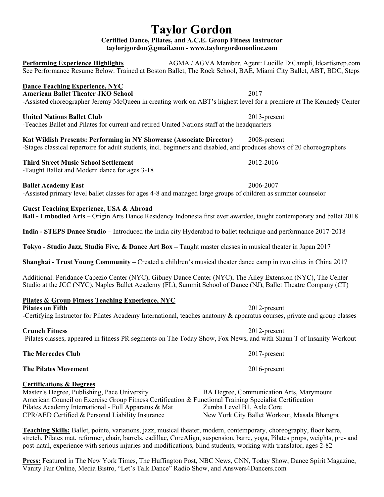# **Taylor Gordon**

**Certified Dance, Pilates, and A.C.E. Group Fitness Instructor taylorjgordon@gmail.com - www.taylorgordononline.com**

**Performing Experience Highlights** AGMA / AGVA Member, Agent: Lucille DiCampli, Idcartistrep.com See Performance Resume Below. Trained at Boston Ballet, The Rock School, BAE, Miami City Ballet, ABT, BDC, Steps

### **Dance Teaching Experience, NYC**

**American Ballet Theater JKO School** 2017 -Assisted choreographer Jeremy McQueen in creating work on ABT's highest level for a premiere at The Kennedy Center

### **United Nations Ballet Club** 2013-present

-Teaches Ballet and Pilates for current and retired United Nations staff at the headquarters

**Kat Wildish Presents: Performing in NY Showcase (Associate Director)** 2008-present -Stages classical repertoire for adult students, incl. beginners and disabled, and produces shows of 20 choreographers

### **Third Street Music School Settlement** 2012-2016 -Taught Ballet and Modern dance for ages 3-18

**Ballet Academy East** 2006-2007

-Assisted primary level ballet classes for ages 4-8 and managed large groups of children as summer counselor

### **Guest Teaching Experience, USA & Abroad**

**Bali - Embodied Arts** – Origin Arts Dance Residency Indonesia first ever awardee, taught contemporary and ballet 2018

**India - STEPS Dance Studio** – Introduced the India city Hyderabad to ballet technique and performance 2017-2018

**Tokyo - Studio Jazz, Studio Five, & Dance Art Box –** Taught master classes in musical theater in Japan 2017

**Shanghai - Trust Young Community –** Created a children's musical theater dance camp in two cities in China 2017

Additional: Peridance Capezio Center (NYC), Gibney Dance Center (NYC), The Ailey Extension (NYC), The Center Studio at the JCC (NYC), Naples Ballet Academy (FL), Summit School of Dance (NJ), Ballet Theatre Company (CT)

### **Pilates & Group Fitness Teaching Experience, NYC**

## **Pilates on Fifth** 2012-present

-Certifying Instructor for Pilates Academy International, teaches anatomy & apparatus courses, private and group classes

### **Crunch Fitness** 2012-present

-Pilates classes, appeared in fitness PR segments on The Today Show, Fox News, and with Shaun T of Insanity Workout

**The Mercedes Club** 2017-present

**The Pilates Movement** 2016-present

### **Certifications & Degrees**

### Master's Degree, Publishing, Pace University BA Degree, Communication Arts, Marymount American Council on Exercise Group Fitness Certification & Functional Training Specialist Certification Pilates Academy International - Full Apparatus & Mat Zumba Level B1, Axle Core CPR/AED Certified & Personal Liability Insurance New York City Ballet Workout, Masala Bhangra

**Teaching Skills:** Ballet, pointe, variations, jazz, musical theater, modern, contemporary, choreography, floor barre, stretch, Pilates mat, reformer, chair, barrels, cadillac, CoreAlign, suspension, barre, yoga, Pilates props, weights, pre- and post-natal, experience with serious injuries and modifications, blind students, working with translator, ages 2-82

**Press:** Featured in The New York Times, The Huffington Post, NBC News, CNN, Today Show, Dance Spirit Magazine, Vanity Fair Online, Media Bistro, "Let's Talk Dance" Radio Show, and Answers4Dancers.com